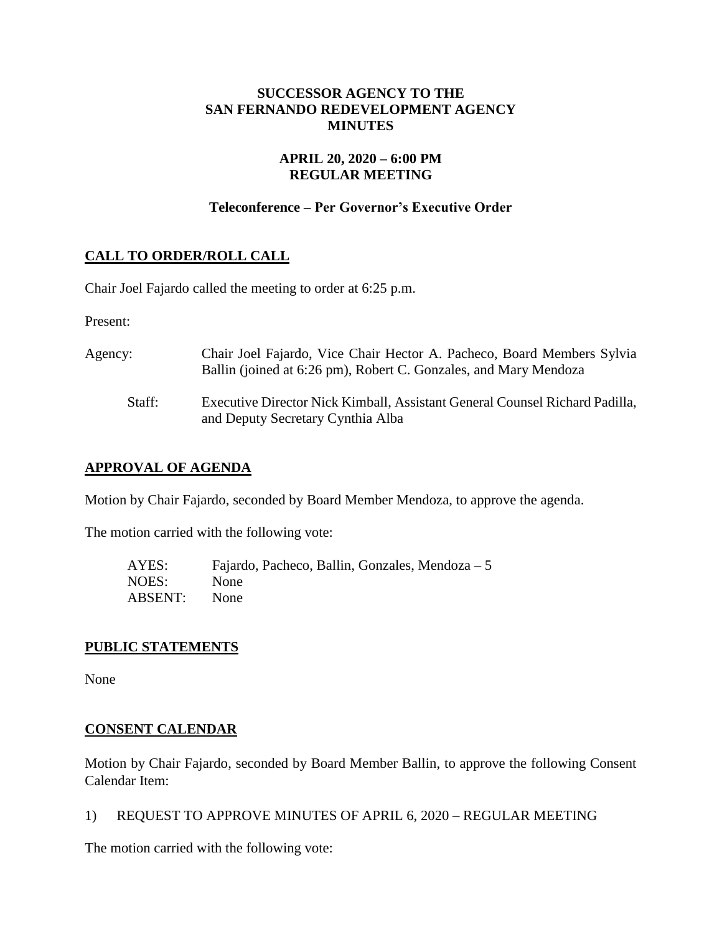# **SUCCESSOR AGENCY TO THE SAN FERNANDO REDEVELOPMENT AGENCY MINUTES**

# **APRIL 20, 2020 – 6:00 PM REGULAR MEETING**

# **Teleconference – Per Governor's Executive Order**

# **CALL TO ORDER/ROLL CALL**

Chair Joel Fajardo called the meeting to order at 6:25 p.m.

Present:

| Agency: | Chair Joel Fajardo, Vice Chair Hector A. Pacheco, Board Members Sylvia<br>Ballin (joined at 6:26 pm), Robert C. Gonzales, and Mary Mendoza |
|---------|--------------------------------------------------------------------------------------------------------------------------------------------|
| Staff:  | Executive Director Nick Kimball, Assistant General Counsel Richard Padilla,<br>and Deputy Secretary Cynthia Alba                           |

# **APPROVAL OF AGENDA**

Motion by Chair Fajardo, seconded by Board Member Mendoza, to approve the agenda.

The motion carried with the following vote:

| AYES:   | Fajardo, Pacheco, Ballin, Gonzales, Mendoza $-5$ |
|---------|--------------------------------------------------|
| NOES:   | None                                             |
| ABSENT: | None                                             |

### **PUBLIC STATEMENTS**

None

### **CONSENT CALENDAR**

Motion by Chair Fajardo, seconded by Board Member Ballin, to approve the following Consent Calendar Item:

1) REQUEST TO APPROVE MINUTES OF APRIL 6, 2020 – REGULAR MEETING

The motion carried with the following vote: